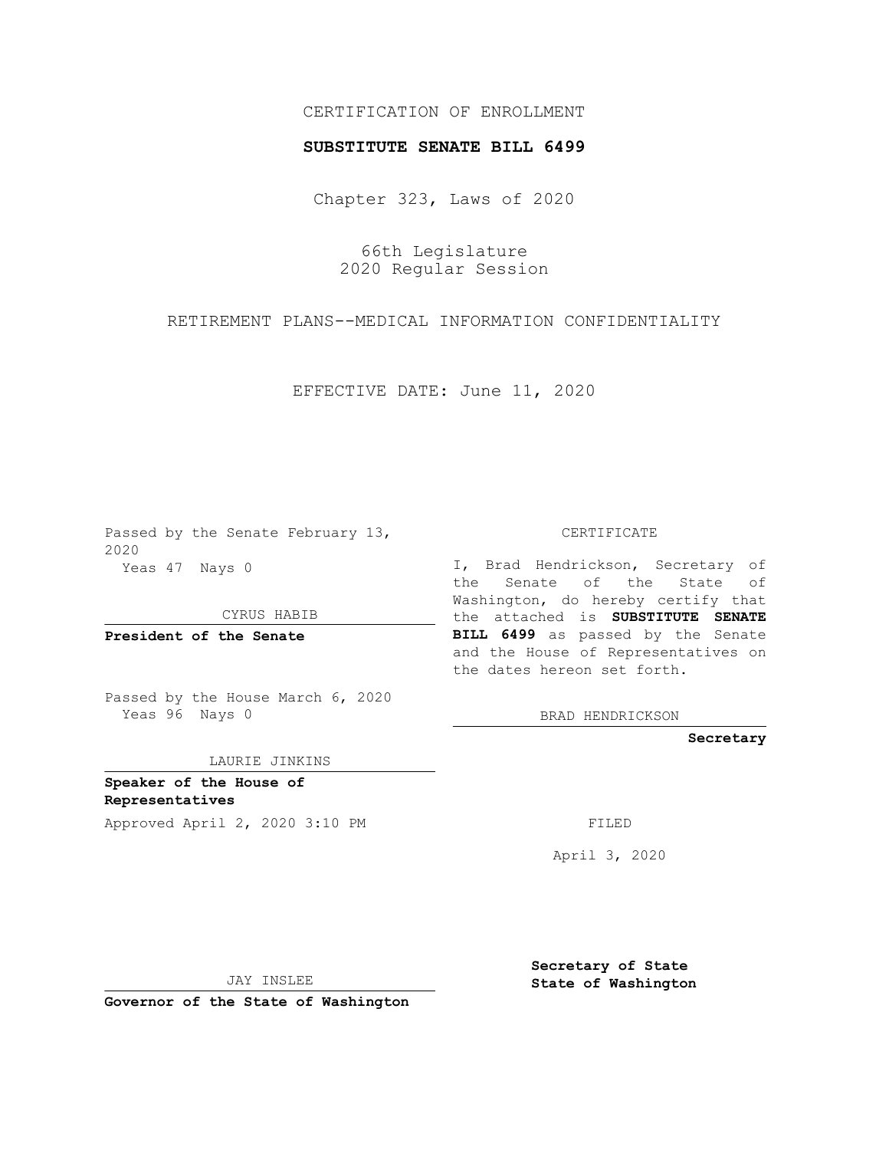## CERTIFICATION OF ENROLLMENT

## **SUBSTITUTE SENATE BILL 6499**

Chapter 323, Laws of 2020

66th Legislature 2020 Regular Session

RETIREMENT PLANS--MEDICAL INFORMATION CONFIDENTIALITY

EFFECTIVE DATE: June 11, 2020

Passed by the Senate February 13, 2020 Yeas 47 Nays 0

CYRUS HABIB

**President of the Senate**

Passed by the House March 6, 2020 Yeas 96 Nays 0

LAURIE JINKINS

**Speaker of the House of Representatives**

CERTIFICATE

I, Brad Hendrickson, Secretary of the Senate of the State of Washington, do hereby certify that the attached is **SUBSTITUTE SENATE BILL 6499** as passed by the Senate and the House of Representatives on the dates hereon set forth.

BRAD HENDRICKSON

**Secretary**

Approved April 2, 2020 3:10 PM

April 3, 2020

JAY INSLEE

**Governor of the State of Washington**

**Secretary of State State of Washington**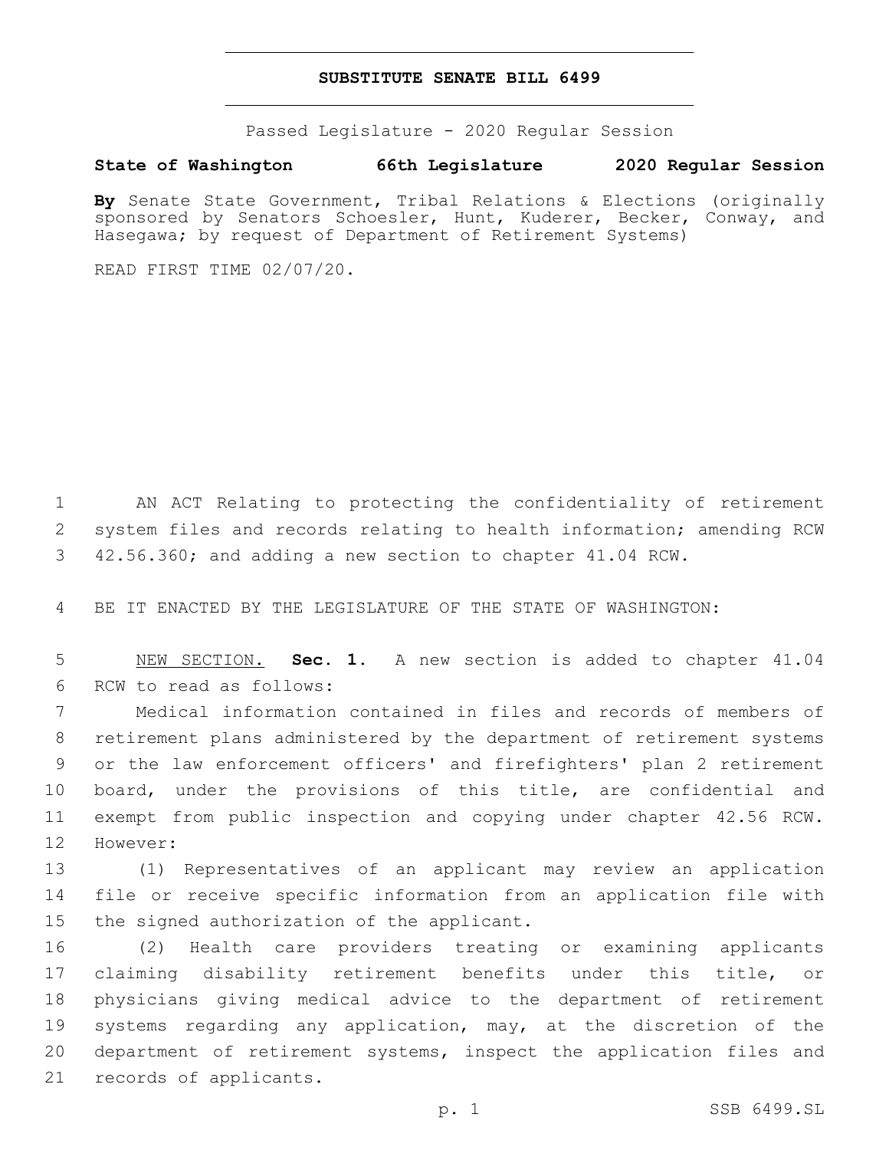## **SUBSTITUTE SENATE BILL 6499**

Passed Legislature - 2020 Regular Session

## **State of Washington 66th Legislature 2020 Regular Session**

**By** Senate State Government, Tribal Relations & Elections (originally sponsored by Senators Schoesler, Hunt, Kuderer, Becker, Conway, and Hasegawa; by request of Department of Retirement Systems)

READ FIRST TIME 02/07/20.

1 AN ACT Relating to protecting the confidentiality of retirement 2 system files and records relating to health information; amending RCW 3 42.56.360; and adding a new section to chapter 41.04 RCW.

4 BE IT ENACTED BY THE LEGISLATURE OF THE STATE OF WASHINGTON:

5 NEW SECTION. **Sec. 1.** A new section is added to chapter 41.04 6 RCW to read as follows:

 Medical information contained in files and records of members of retirement plans administered by the department of retirement systems or the law enforcement officers' and firefighters' plan 2 retirement board, under the provisions of this title, are confidential and exempt from public inspection and copying under chapter 42.56 RCW. 12 However:

13 (1) Representatives of an applicant may review an application 14 file or receive specific information from an application file with 15 the signed authorization of the applicant.

 (2) Health care providers treating or examining applicants claiming disability retirement benefits under this title, or physicians giving medical advice to the department of retirement systems regarding any application, may, at the discretion of the department of retirement systems, inspect the application files and 21 records of applicants.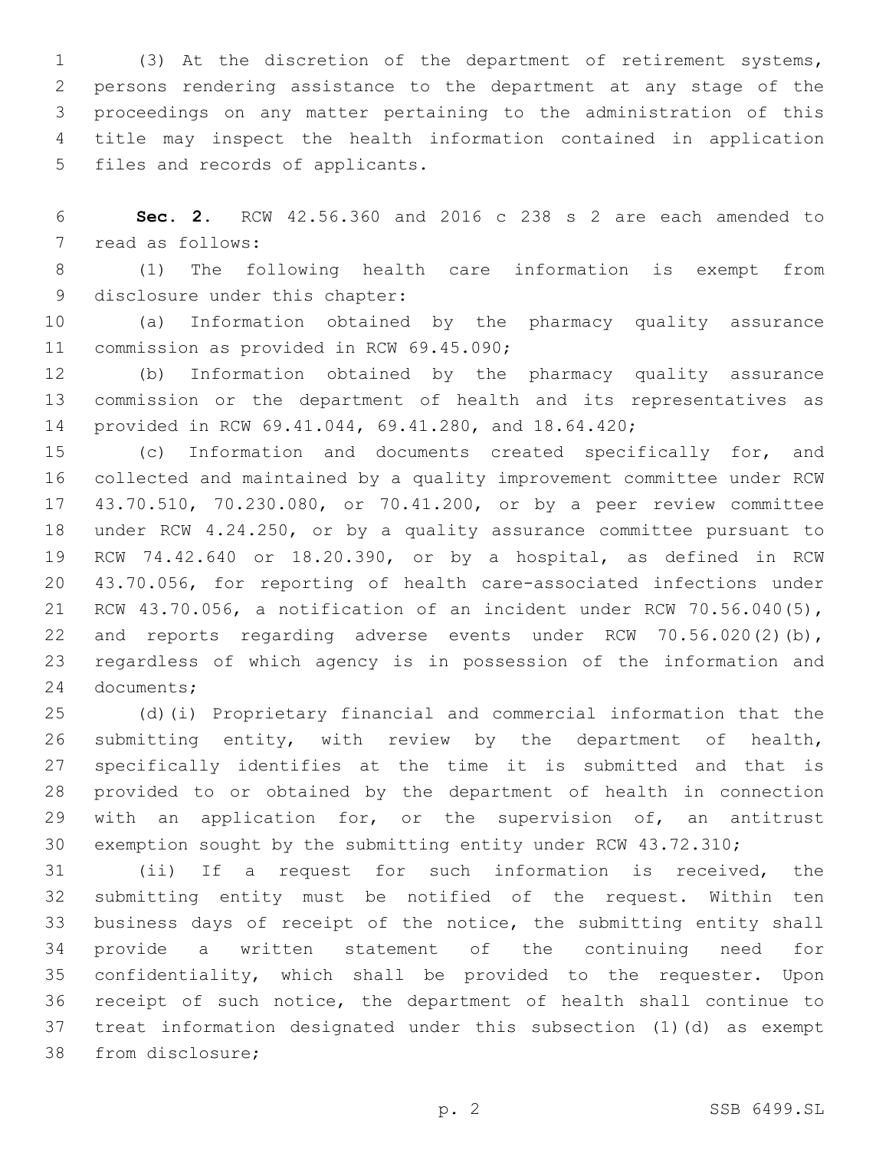(3) At the discretion of the department of retirement systems, persons rendering assistance to the department at any stage of the proceedings on any matter pertaining to the administration of this title may inspect the health information contained in application 5 files and records of applicants.

 **Sec. 2.** RCW 42.56.360 and 2016 c 238 s 2 are each amended to 7 read as follows:

 (1) The following health care information is exempt from 9 disclosure under this chapter:

 (a) Information obtained by the pharmacy quality assurance 11 commission as provided in RCW 69.45.090;

 (b) Information obtained by the pharmacy quality assurance commission or the department of health and its representatives as provided in RCW 69.41.044, 69.41.280, and 18.64.420;

 (c) Information and documents created specifically for, and collected and maintained by a quality improvement committee under RCW 43.70.510, 70.230.080, or 70.41.200, or by a peer review committee under RCW 4.24.250, or by a quality assurance committee pursuant to RCW 74.42.640 or 18.20.390, or by a hospital, as defined in RCW 43.70.056, for reporting of health care-associated infections under RCW 43.70.056, a notification of an incident under RCW 70.56.040(5), 22 and reports regarding adverse events under RCW 70.56.020(2)(b), regardless of which agency is in possession of the information and 24 documents;

 (d)(i) Proprietary financial and commercial information that the submitting entity, with review by the department of health, specifically identifies at the time it is submitted and that is provided to or obtained by the department of health in connection with an application for, or the supervision of, an antitrust exemption sought by the submitting entity under RCW 43.72.310;

 (ii) If a request for such information is received, the submitting entity must be notified of the request. Within ten business days of receipt of the notice, the submitting entity shall provide a written statement of the continuing need for confidentiality, which shall be provided to the requester. Upon receipt of such notice, the department of health shall continue to treat information designated under this subsection (1)(d) as exempt 38 from disclosure;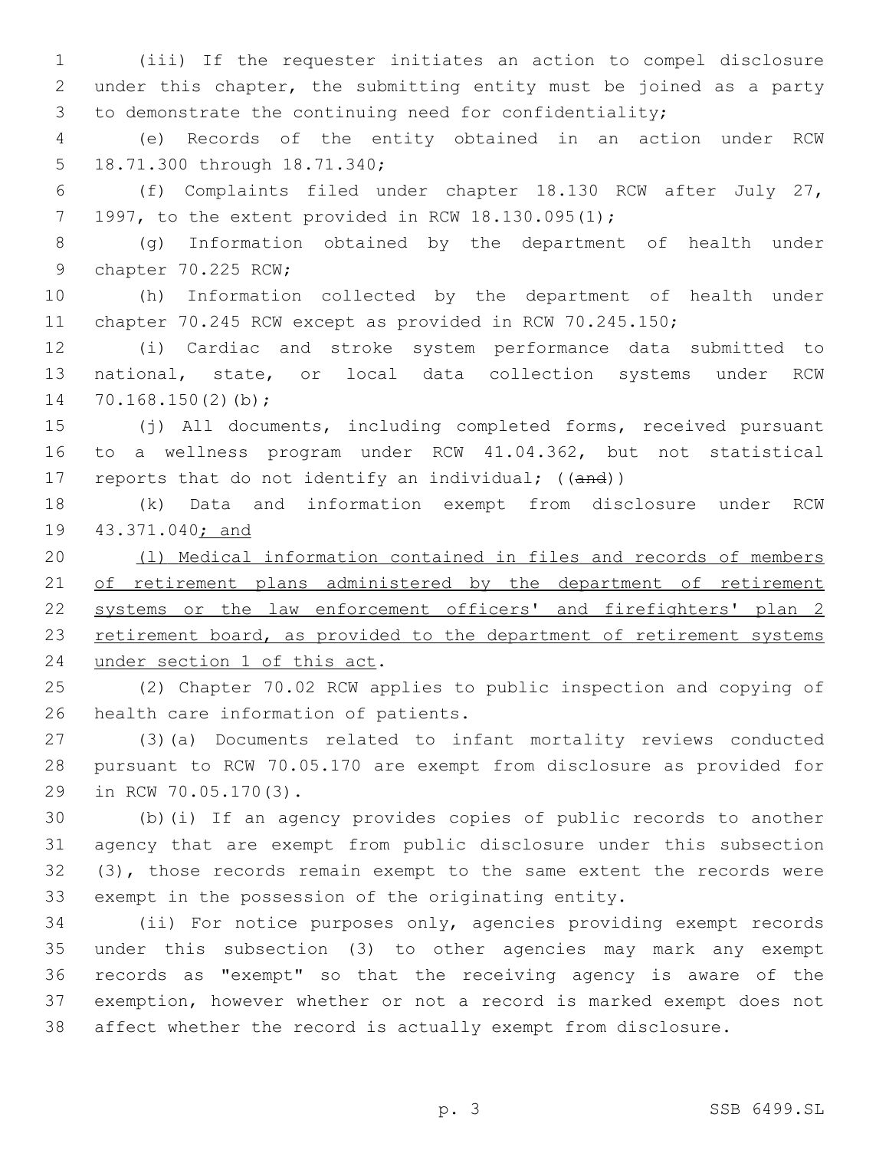(iii) If the requester initiates an action to compel disclosure under this chapter, the submitting entity must be joined as a party to demonstrate the continuing need for confidentiality;

 (e) Records of the entity obtained in an action under RCW 5 18.71.300 through 18.71.340;

 (f) Complaints filed under chapter 18.130 RCW after July 27, 7 1997, to the extent provided in RCW  $18.130.095(1)$ ;

 (g) Information obtained by the department of health under 9 chapter 70.225 RCW;

 (h) Information collected by the department of health under chapter 70.245 RCW except as provided in RCW 70.245.150;

 (i) Cardiac and stroke system performance data submitted to national, state, or local data collection systems under RCW 14  $70.168.150(2)(b)$ ;

 (j) All documents, including completed forms, received pursuant to a wellness program under RCW 41.04.362, but not statistical 17 reports that do not identify an individual; ((and))

 (k) Data and information exempt from disclosure under RCW 43.371.040; and

 (l) Medical information contained in files and records of members 21 of retirement plans administered by the department of retirement 22 systems or the law enforcement officers' and firefighters' plan 2 23 retirement board, as provided to the department of retirement systems 24 under section 1 of this act.

 (2) Chapter 70.02 RCW applies to public inspection and copying of 26 health care information of patients.

 (3)(a) Documents related to infant mortality reviews conducted pursuant to RCW 70.05.170 are exempt from disclosure as provided for 29 in RCW 70.05.170(3).

 (b)(i) If an agency provides copies of public records to another agency that are exempt from public disclosure under this subsection (3), those records remain exempt to the same extent the records were exempt in the possession of the originating entity.

 (ii) For notice purposes only, agencies providing exempt records under this subsection (3) to other agencies may mark any exempt records as "exempt" so that the receiving agency is aware of the exemption, however whether or not a record is marked exempt does not affect whether the record is actually exempt from disclosure.